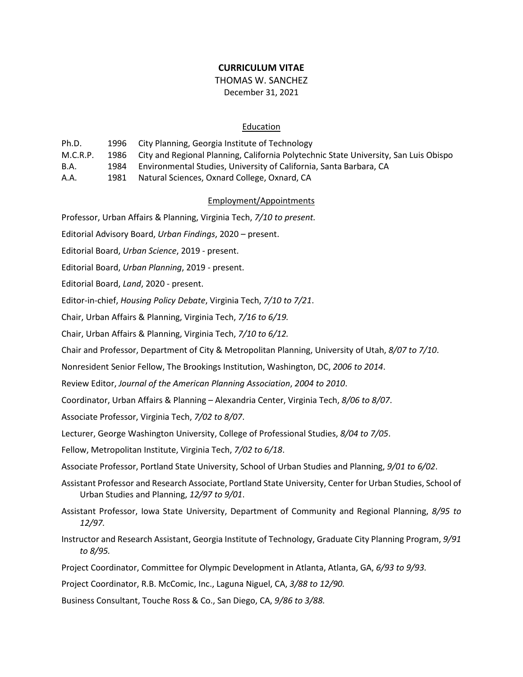## **CURRICULUM VITAE**

## THOMAS W. SANCHEZ December 31, 2021

## **Education**

| Ph.D.       |      | 1996 City Planning, Georgia Institute of Technology                                       |
|-------------|------|-------------------------------------------------------------------------------------------|
| M.C.R.P.    |      | 1986 City and Regional Planning, California Polytechnic State University, San Luis Obispo |
| <b>B.A.</b> | 1984 | Environmental Studies, University of California, Santa Barbara, CA                        |
| A.A.        | 1981 | Natural Sciences, Oxnard College, Oxnard, CA                                              |

### Employment/Appointments

Professor, Urban Affairs & Planning, Virginia Tech, *7/10 to present.*

Editorial Advisory Board, *Urban Findings*, 2020 – present.

Editorial Board, *Urban Science*, 2019 - present.

Editorial Board, *Urban Planning*, 2019 - present.

Editorial Board, *Land*, 2020 - present.

Editor-in-chief, *Housing Policy Debate*, Virginia Tech, *7/10 to 7/21*.

Chair, Urban Affairs & Planning, Virginia Tech, *7/16 to 6/19.*

Chair, Urban Affairs & Planning, Virginia Tech, *7/10 to 6/12.*

Chair and Professor, Department of City & Metropolitan Planning, University of Utah, *8/07 to 7/10*.

Nonresident Senior Fellow, The Brookings Institution, Washington, DC, *2006 to 2014*.

Review Editor, *Journal of the American Planning Association*, *2004 to 2010*.

Coordinator, Urban Affairs & Planning – Alexandria Center, Virginia Tech, *8/06 to 8/07*.

Associate Professor, Virginia Tech, *7/02 to 8/07*.

Lecturer, George Washington University, College of Professional Studies, *8/04 to 7/05*.

Fellow, Metropolitan Institute, Virginia Tech, *7/02 to 6/18*.

Associate Professor, Portland State University, School of Urban Studies and Planning, *9/01 to 6/02*.

Assistant Professor and Research Associate, Portland State University, Center for Urban Studies, School of Urban Studies and Planning, *12/97 to 9/01*.

Assistant Professor, Iowa State University, Department of Community and Regional Planning, *8/95 to 12/97.*

Instructor and Research Assistant, Georgia Institute of Technology, Graduate City Planning Program, *9/91 to 8/95.*

Project Coordinator, Committee for Olympic Development in Atlanta, Atlanta, GA, *6/93 to 9/93.*

Project Coordinator, R.B. McComic, Inc., Laguna Niguel, CA, *3/88 to 12/90.*

Business Consultant, Touche Ross & Co., San Diego, CA, *9/86 to 3/88.*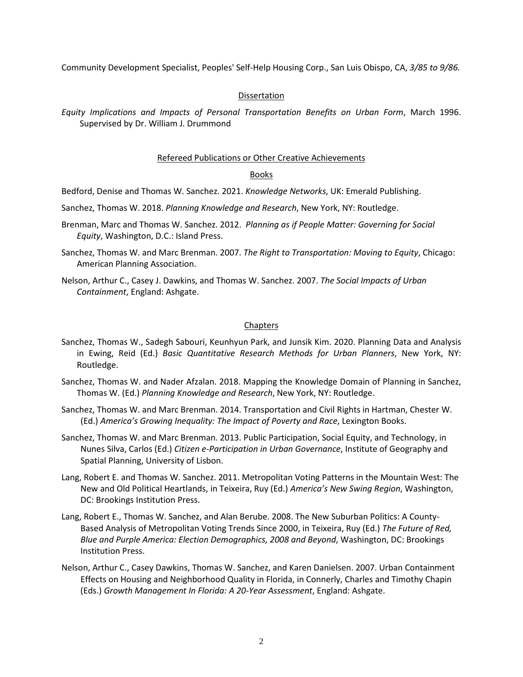Community Development Specialist, Peoples' Self-Help Housing Corp., San Luis Obispo, CA, *3/85 to 9/86.*

## Dissertation

*Equity Implications and Impacts of Personal Transportation Benefits on Urban Form*, March 1996. Supervised by Dr. William J. Drummond

## Refereed Publications or Other Creative Achievements

## Books

Bedford, Denise and Thomas W. Sanchez. 2021. *Knowledge Networks*, UK: Emerald Publishing.

Sanchez, Thomas W. 2018. *Planning Knowledge and Research*, New York, NY: Routledge.

- Brenman, Marc and Thomas W. Sanchez. 2012. *Planning as if People Matter: Governing for Social Equity*, Washington, D.C.: Island Press.
- Sanchez, Thomas W. and Marc Brenman. 2007. *The Right to Transportation: Moving to Equity*, Chicago: American Planning Association.
- Nelson, Arthur C., Casey J. Dawkins, and Thomas W. Sanchez. 2007. *The Social Impacts of Urban Containment*, England: Ashgate.

## **Chapters**

- Sanchez, Thomas W., Sadegh Sabouri, Keunhyun Park, and Junsik Kim. 2020. Planning Data and Analysis in Ewing, Reid (Ed.) *Basic Quantitative Research Methods for Urban Planners*, New York, NY: Routledge.
- Sanchez, Thomas W. and Nader Afzalan. 2018. Mapping the Knowledge Domain of Planning in Sanchez, Thomas W. (Ed.) *Planning Knowledge and Research*, New York, NY: Routledge.
- Sanchez, Thomas W. and Marc Brenman. 2014. Transportation and Civil Rights in Hartman, Chester W. (Ed.) *America's Growing Inequality: The Impact of Poverty and Race*, Lexington Books.
- Sanchez, Thomas W. and Marc Brenman. 2013. Public Participation, Social Equity, and Technology, in Nunes Silva, Carlos (Ed.) *Citizen e-Participation in Urban Governance*, Institute of Geography and Spatial Planning, University of Lisbon.
- Lang, Robert E. and Thomas W. Sanchez. 2011. Metropolitan Voting Patterns in the Mountain West: The New and Old Political Heartlands, in Teixeira, Ruy (Ed.) *America's New Swing Region*, Washington, DC: Brookings Institution Press.
- Lang, Robert E., Thomas W. Sanchez, and Alan Berube. 2008. The New Suburban Politics: A County-Based Analysis of Metropolitan Voting Trends Since 2000, in Teixeira, Ruy (Ed.) *The Future of Red, Blue and Purple America: Election Demographics, 2008 and Beyond*, Washington, DC: Brookings Institution Press.
- Nelson, Arthur C., Casey Dawkins, Thomas W. Sanchez, and Karen Danielsen. 2007. Urban Containment Effects on Housing and Neighborhood Quality in Florida, in Connerly, Charles and Timothy Chapin (Eds.) *Growth Management In Florida: A 20-Year Assessment*, England: Ashgate.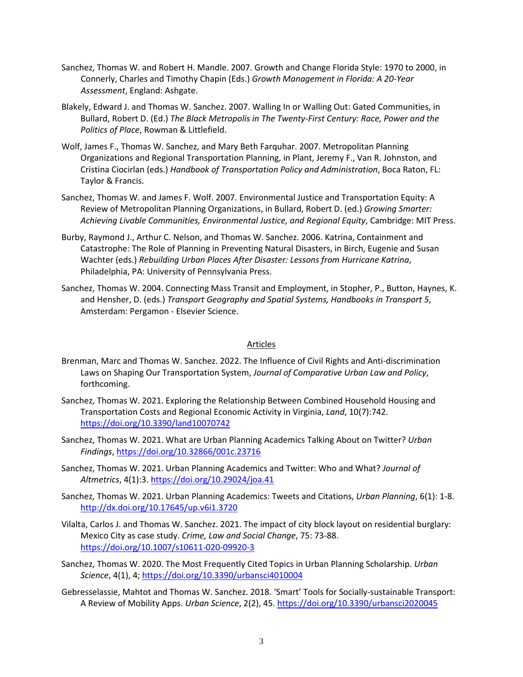- Sanchez, Thomas W. and Robert H. Mandle. 2007. Growth and Change Florida Style: 1970 to 2000, in Connerly, Charles and Timothy Chapin (Eds.) *Growth Management in Florida: A 20-Year Assessment*, England: Ashgate.
- Blakely, Edward J. and Thomas W. Sanchez. 2007. Walling In or Walling Out: Gated Communities, in Bullard, Robert D. (Ed.) *The Black Metropolis in The Twenty-First Century: Race, Power and the Politics of Place*, Rowman & Littlefield.
- Wolf, James F., Thomas W. Sanchez, and Mary Beth Farquhar. 2007. Metropolitan Planning Organizations and Regional Transportation Planning, in Plant, Jeremy F., Van R. Johnston, and Cristina Ciocirlan (eds.) *Handbook of Transportation Policy and Administration*, Boca Raton, FL: Taylor & Francis.
- Sanchez, Thomas W. and James F. Wolf. 2007. Environmental Justice and Transportation Equity: A Review of Metropolitan Planning Organizations, in Bullard, Robert D. (ed.) *Growing Smarter: Achieving Livable Communities, Environmental Justice, and Regional Equity*, Cambridge: MIT Press.
- Burby, Raymond J., Arthur C. Nelson, and Thomas W. Sanchez. 2006. Katrina, Containment and Catastrophe: The Role of Planning in Preventing Natural Disasters, in Birch, Eugenie and Susan Wachter (eds.) *Rebuilding Urban Places After Disaster: Lessons from Hurricane Katrina*, Philadelphia, PA: University of Pennsylvania Press.
- Sanchez, Thomas W. 2004. Connecting Mass Transit and Employment, in Stopher, P., Button, Haynes, K. and Hensher, D. (eds.) *Transport Geography and Spatial Systems, Handbooks in Transport 5*, Amsterdam: Pergamon - Elsevier Science.

### Articles

- Brenman, Marc and Thomas W. Sanchez. 2022. The Influence of Civil Rights and Anti-discrimination Laws on Shaping Our Transportation System, *Journal of Comparative Urban Law and Policy*, forthcoming.
- Sanchez, Thomas W. 2021. Exploring the Relationship Between Combined Household Housing and Transportation Costs and Regional Economic Activity in Virginia, *Land*, 10(7):742. <https://doi.org/10.3390/land10070742>
- Sanchez, Thomas W. 2021. What are Urban Planning Academics Talking About on Twitter? *Urban Findings*[, https://doi.org/10.32866/001c.23716](https://doi.org/10.32866/001c.23716)
- Sanchez, Thomas W. 2021. Urban Planning Academics and Twitter: Who and What? *Journal of Altmetrics*, 4(1):3[. https://doi.org/10.29024/joa.41](https://doi.org/10.29024/joa.41)
- Sanchez, Thomas W. 2021. Urban Planning Academics: Tweets and Citations, *Urban Planning*, 6(1): 1-8. <http://dx.doi.org/10.17645/up.v6i1.3720>
- Vilalta, Carlos J. and Thomas W. Sanchez. 2021. The impact of city block layout on residential burglary: Mexico City as case study. *Crime, Law and Social Change*, 75: 73-88. <https://doi.org/10.1007/s10611-020-09920-3>
- Sanchez, Thomas W. 2020. The Most Frequently Cited Topics in Urban Planning Scholarship. *Urban Science*, 4(1), 4;<https://doi.org/10.3390/urbansci4010004>
- Gebresselassie, Mahtot and Thomas W. Sanchez. 2018. 'Smart' Tools for Socially-sustainable Transport: A Review of Mobility Apps. *Urban Science*, 2(2), 45[. https://doi.org/10.3390/urbansci2020045](https://doi.org/10.3390/urbansci2020045)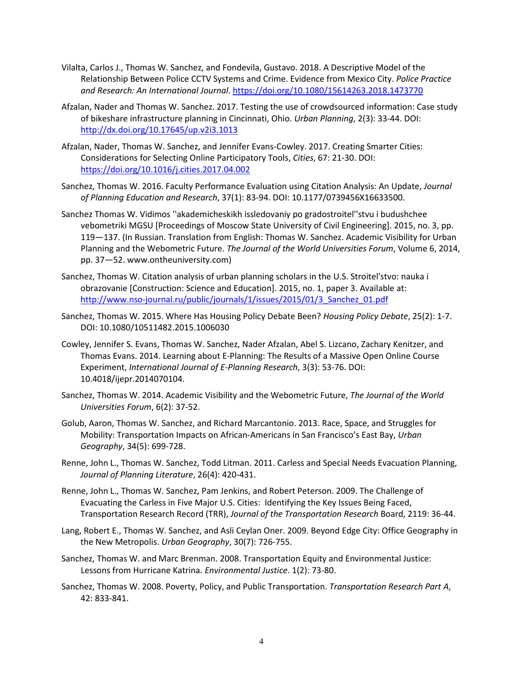- Vilalta, Carlos J., Thomas W. Sanchez, and Fondevila, Gustavo. 2018. A Descriptive Model of the Relationship Between Police CCTV Systems and Crime. Evidence from Mexico City. *Police Practice and Research: An International Journal*. <https://doi.org/10.1080/15614263.2018.1473770>
- Afzalan, Nader and Thomas W. Sanchez. 2017. Testing the use of crowdsourced information: Case study of bikeshare infrastructure planning in Cincinnati, Ohio. *Urban Planning*, 2(3): 33-44. DOI: <http://dx.doi.org/10.17645/up.v2i3.1013>
- Afzalan, Nader, Thomas W. Sanchez, and Jennifer Evans-Cowley. 2017. Creating Smarter Cities: Considerations for Selecting Online Participatory Tools, *Cities*, 67: 21-30. DOI: <https://doi.org/10.1016/j.cities.2017.04.002>
- Sanchez, Thomas W. 2016. Faculty Performance Evaluation using Citation Analysis: An Update, *Journal of Planning Education and Research*, 37(1): 83-94. DOI: 10.1177/0739456X16633500.
- Sanchez Thomas W. Vidimos ''akademicheskikh issledovaniy po gradostroitel''stvu i budushchee vebometriki MGSU [Proceedings of Moscow State University of Civil Engineering]. 2015, no. 3, pp. 119—137. (In Russian. Translation from English: Thomas W. Sanchez. Academic Visibility for Urban Planning and the Webometric Future. *The Journal of the World Universities Forum*, Volume 6, 2014, pp. 37—52. www.ontheuniversity.com)
- Sanchez, Thomas W. Citation analysis of urban planning scholars in the U.S. Stroitel'stvo: nauka i obrazovanie [Construction: Science and Education]. 2015, no. 1, paper 3. Available at: [http://www.nso-journal.ru/public/journals/1/issues/2015/01/3\\_Sanchez\\_01.pdf](http://www.nso-journal.ru/public/journals/1/issues/2015/01/3_Sanchez_01.pdf)
- Sanchez, Thomas W. 2015. Where Has Housing Policy Debate Been? *Housing Policy Debate*, 25(2): 1-7. DOI: 10.1080/10511482.2015.1006030
- Cowley, Jennifer S. Evans, Thomas W. Sanchez, Nader Afzalan, Abel S. Lizcano, Zachary Kenitzer, and Thomas Evans. 2014. Learning about E-Planning: The Results of a Massive Open Online Course Experiment, *International Journal of E-Planning Research*, 3(3): 53-76. DOI: 10.4018/ijepr.2014070104.
- Sanchez, Thomas W. 2014. Academic Visibility and the Webometric Future, *The Journal of the World Universities Forum*, 6(2): 37-52.
- Golub, Aaron, Thomas W. Sanchez, and Richard Marcantonio. 2013. Race, Space, and Struggles for Mobility: Transportation Impacts on African-Americans in San Francisco's East Bay, *Urban Geography*, 34(5): 699-728.
- Renne, John L., Thomas W. Sanchez, Todd Litman. 2011. Carless and Special Needs Evacuation Planning, *Journal of Planning Literature*, 26(4): 420-431.
- Renne, John L., Thomas W. Sanchez, Pam Jenkins, and Robert Peterson. 2009. The Challenge of Evacuating the Carless in Five Major U.S. Cities: Identifying the Key Issues Being Faced, Transportation Research Record (TRR), *Journal of the Transportation Research* Board, 2119: 36-44.
- Lang, Robert E., Thomas W. Sanchez, and Asli Ceylan Oner. 2009. Beyond Edge City: Office Geography in the New Metropolis. *Urban Geography*, 30(7): 726-755.
- Sanchez, Thomas W. and Marc Brenman. 2008. Transportation Equity and Environmental Justice: Lessons from Hurricane Katrina. *Environmental Justice*. 1(2): 73-80.
- Sanchez, Thomas W. 2008. Poverty, Policy, and Public Transportation. *Transportation Research Part A*, 42: 833-841.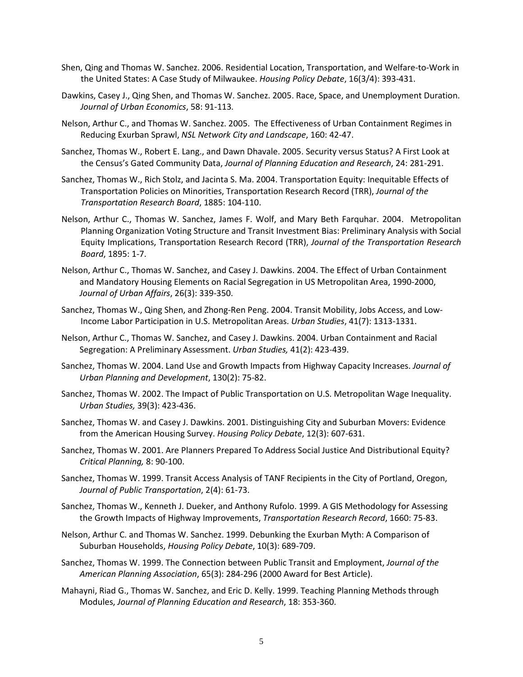- Shen, Qing and Thomas W. Sanchez. 2006. Residential Location, Transportation, and Welfare-to-Work in the United States: A Case Study of Milwaukee. *Housing Policy Debate*, 16(3/4): 393-431.
- Dawkins, Casey J., Qing Shen, and Thomas W. Sanchez. 2005. Race, Space, and Unemployment Duration. *Journal of Urban Economics*, 58: 91-113*.*
- Nelson, Arthur C., and Thomas W. Sanchez. 2005. The Effectiveness of Urban Containment Regimes in Reducing Exurban Sprawl, *NSL Network City and Landscape*, 160: 42-47.
- Sanchez, Thomas W., Robert E. Lang., and Dawn Dhavale. 2005. Security versus Status? A First Look at the Census's Gated Community Data, *Journal of Planning Education and Research*, 24: 281-291.
- Sanchez, Thomas W., Rich Stolz, and Jacinta S. Ma. 2004. Transportation Equity: Inequitable Effects of Transportation Policies on Minorities, Transportation Research Record (TRR), *Journal of the Transportation Research Board*, 1885: 104-110.
- Nelson, Arthur C., Thomas W. Sanchez, James F. Wolf, and Mary Beth Farquhar. 2004. Metropolitan Planning Organization Voting Structure and Transit Investment Bias: Preliminary Analysis with Social Equity Implications, Transportation Research Record (TRR), *Journal of the Transportation Research Board*, 1895: 1-7.
- Nelson, Arthur C., Thomas W. Sanchez, and Casey J. Dawkins. 2004. The Effect of Urban Containment and Mandatory Housing Elements on Racial Segregation in US Metropolitan Area, 1990-2000, *Journal of Urban Affairs*, 26(3): 339-350.
- Sanchez, Thomas W., Qing Shen, and Zhong-Ren Peng. 2004. Transit Mobility, Jobs Access, and Low-Income Labor Participation in U.S. Metropolitan Areas. *Urban Studies*, 41(7): 1313-1331.
- Nelson, Arthur C., Thomas W. Sanchez, and Casey J. Dawkins. 2004. Urban Containment and Racial Segregation: A Preliminary Assessment. *Urban Studies,* 41(2): 423-439.
- Sanchez, Thomas W. 2004. Land Use and Growth Impacts from Highway Capacity Increases. *Journal of Urban Planning and Development*, 130(2): 75-82.
- Sanchez, Thomas W. 2002. The Impact of Public Transportation on U.S. Metropolitan Wage Inequality. *Urban Studies,* 39(3): 423-436.
- Sanchez, Thomas W. and Casey J. Dawkins. 2001. Distinguishing City and Suburban Movers: Evidence from the American Housing Survey. *Housing Policy Debate*, 12(3): 607-631.
- Sanchez, Thomas W. 2001. Are Planners Prepared To Address Social Justice And Distributional Equity? *Critical Planning,* 8: 90-100.
- Sanchez, Thomas W. 1999. Transit Access Analysis of TANF Recipients in the City of Portland, Oregon, *Journal of Public Transportation*, 2(4): 61-73.
- Sanchez, Thomas W., Kenneth J. Dueker, and Anthony Rufolo. 1999. A GIS Methodology for Assessing the Growth Impacts of Highway Improvements, *Transportation Research Record*, 1660: 75-83.
- Nelson, Arthur C. and Thomas W. Sanchez. 1999. Debunking the Exurban Myth: A Comparison of Suburban Households, *Housing Policy Debate*, 10(3): 689-709.
- Sanchez, Thomas W. 1999. The Connection between Public Transit and Employment, *Journal of the American Planning Association*, 65(3): 284-296 (2000 Award for Best Article).
- Mahayni, Riad G., Thomas W. Sanchez, and Eric D. Kelly. 1999. Teaching Planning Methods through Modules, *Journal of Planning Education and Research*, 18: 353-360.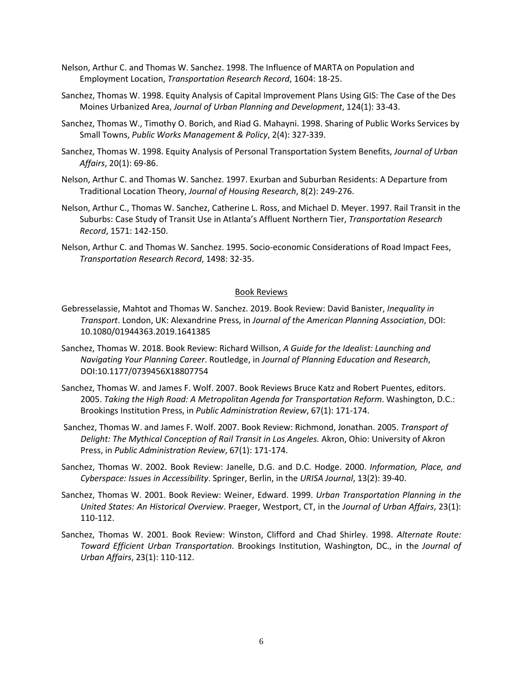- Nelson, Arthur C. and Thomas W. Sanchez. 1998. The Influence of MARTA on Population and Employment Location, *Transportation Research Record*, 1604: 18-25.
- Sanchez, Thomas W. 1998. Equity Analysis of Capital Improvement Plans Using GIS: The Case of the Des Moines Urbanized Area, *Journal of Urban Planning and Development*, 124(1): 33-43.
- Sanchez, Thomas W., Timothy O. Borich, and Riad G. Mahayni. 1998. Sharing of Public Works Services by Small Towns, *Public Works Management & Policy*, 2(4): 327-339.
- Sanchez, Thomas W. 1998. Equity Analysis of Personal Transportation System Benefits, *Journal of Urban Affairs*, 20(1): 69-86.
- Nelson, Arthur C. and Thomas W. Sanchez. 1997. Exurban and Suburban Residents: A Departure from Traditional Location Theory, *Journal of Housing Research*, 8(2): 249-276.
- Nelson, Arthur C., Thomas W. Sanchez, Catherine L. Ross, and Michael D. Meyer. 1997. Rail Transit in the Suburbs: Case Study of Transit Use in Atlanta's Affluent Northern Tier, *Transportation Research Record*, 1571: 142-150.
- Nelson, Arthur C. and Thomas W. Sanchez. 1995. Socio-economic Considerations of Road Impact Fees, *Transportation Research Record*, 1498: 32-35.

## Book Reviews

- Gebresselassie, Mahtot and Thomas W. Sanchez. 2019. Book Review: David Banister, *Inequality in Transport*. London, UK: Alexandrine Press, in *Journal of the American Planning Association*, DOI: 10.1080/01944363.2019.1641385
- Sanchez, Thomas W. 2018. Book Review: Richard Willson, *A Guide for the Idealist: Launching and Navigating Your Planning Career*. Routledge, in *Journal of Planning Education and Research*, DOI:10.1177/0739456X18807754
- Sanchez, Thomas W. and James F. Wolf. 2007. Book Reviews Bruce Katz and Robert Puentes, editors. 2005. *Taking the High Road: A Metropolitan Agenda for Transportation Reform*. Washington, D.C.: Brookings Institution Press, in *Public Administration Review*, 67(1): 171-174.
- Sanchez, Thomas W. and James F. Wolf. 2007. Book Review: Richmond, Jonathan. 2005. *Transport of Delight: The Mythical Conception of Rail Transit in Los Angeles.* Akron, Ohio: University of Akron Press, in *Public Administration Review*, 67(1): 171-174.
- Sanchez, Thomas W. 2002. Book Review: Janelle, D.G. and D.C. Hodge. 2000. *Information, Place, and Cyberspace: Issues in Accessibility*. Springer, Berlin, in the *URISA Journal*, 13(2): 39-40.
- Sanchez, Thomas W. 2001. Book Review: Weiner, Edward. 1999. *Urban Transportation Planning in the United States: An Historical Overview*. Praeger, Westport, CT, in the *Journal of Urban Affairs*, 23(1): 110-112.
- Sanchez, Thomas W. 2001. Book Review: Winston, Clifford and Chad Shirley. 1998. *Alternate Route: Toward Efficient Urban Transportation*. Brookings Institution, Washington, DC., in the *Journal of Urban Affairs*, 23(1): 110-112.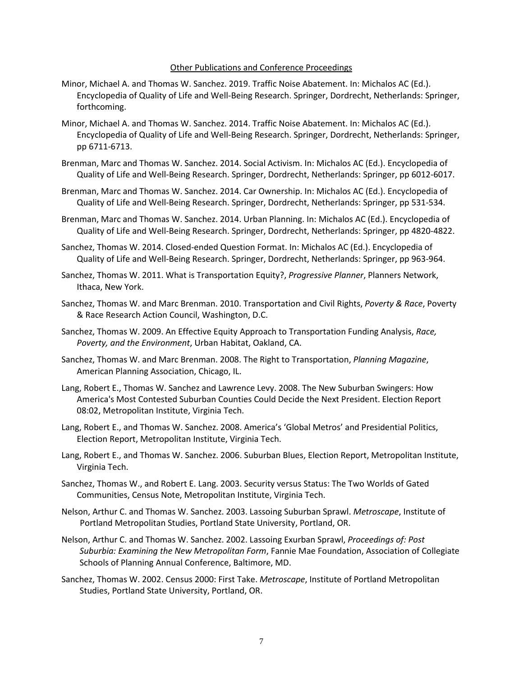#### Other Publications and Conference Proceedings

- Minor, Michael A. and Thomas W. Sanchez. 2019. Traffic Noise Abatement. In: Michalos AC (Ed.). Encyclopedia of Quality of Life and Well-Being Research. Springer, Dordrecht, Netherlands: Springer, forthcoming.
- Minor, Michael A. and Thomas W. Sanchez. 2014. Traffic Noise Abatement. In: Michalos AC (Ed.). Encyclopedia of Quality of Life and Well-Being Research. Springer, Dordrecht, Netherlands: Springer, pp 6711-6713.
- Brenman, Marc and Thomas W. Sanchez. 2014. Social Activism. In: Michalos AC (Ed.). Encyclopedia of Quality of Life and Well-Being Research. Springer, Dordrecht, Netherlands: Springer, pp 6012-6017.
- Brenman, Marc and Thomas W. Sanchez. 2014. Car Ownership. In: Michalos AC (Ed.). Encyclopedia of Quality of Life and Well-Being Research. Springer, Dordrecht, Netherlands: Springer, pp 531-534.
- Brenman, Marc and Thomas W. Sanchez. 2014. Urban Planning. In: Michalos AC (Ed.). Encyclopedia of Quality of Life and Well-Being Research. Springer, Dordrecht, Netherlands: Springer, pp 4820-4822.
- Sanchez, Thomas W. 2014. Closed-ended Question Format. In: Michalos AC (Ed.). Encyclopedia of Quality of Life and Well-Being Research. Springer, Dordrecht, Netherlands: Springer, pp 963-964.
- Sanchez, Thomas W. 2011. What is Transportation Equity?, *Progressive Planner*, Planners Network, Ithaca, New York.
- Sanchez, Thomas W. and Marc Brenman. 2010. Transportation and Civil Rights, *Poverty & Race*, Poverty & Race Research Action Council, Washington, D.C.
- Sanchez, Thomas W. 2009. An Effective Equity Approach to Transportation Funding Analysis, *Race, Poverty, and the Environment*, Urban Habitat, Oakland, CA.
- Sanchez, Thomas W. and Marc Brenman. 2008. The Right to Transportation, *Planning Magazine*, American Planning Association, Chicago, IL.
- Lang, Robert E., Thomas W. Sanchez and Lawrence Levy. 2008. The New Suburban Swingers: How America's Most Contested Suburban Counties Could Decide the Next President. Election Report 08:02, Metropolitan Institute, Virginia Tech.
- Lang, Robert E., and Thomas W. Sanchez. 2008. America's 'Global Metros' and Presidential Politics, Election Report, Metropolitan Institute, Virginia Tech.
- Lang, Robert E., and Thomas W. Sanchez. 2006. Suburban Blues, Election Report, Metropolitan Institute, Virginia Tech.
- Sanchez, Thomas W., and Robert E. Lang. 2003. Security versus Status: The Two Worlds of Gated Communities, Census Note, Metropolitan Institute, Virginia Tech.
- Nelson, Arthur C. and Thomas W. Sanchez. 2003. Lassoing Suburban Sprawl. *Metroscape*, Institute of Portland Metropolitan Studies, Portland State University, Portland, OR.
- Nelson, Arthur C. and Thomas W. Sanchez. 2002. Lassoing Exurban Sprawl, *Proceedings of: Post Suburbia: Examining the New Metropolitan Form*, Fannie Mae Foundation, Association of Collegiate Schools of Planning Annual Conference, Baltimore, MD.
- Sanchez, Thomas W. 2002. Census 2000: First Take. *Metroscape*, Institute of Portland Metropolitan Studies, Portland State University, Portland, OR.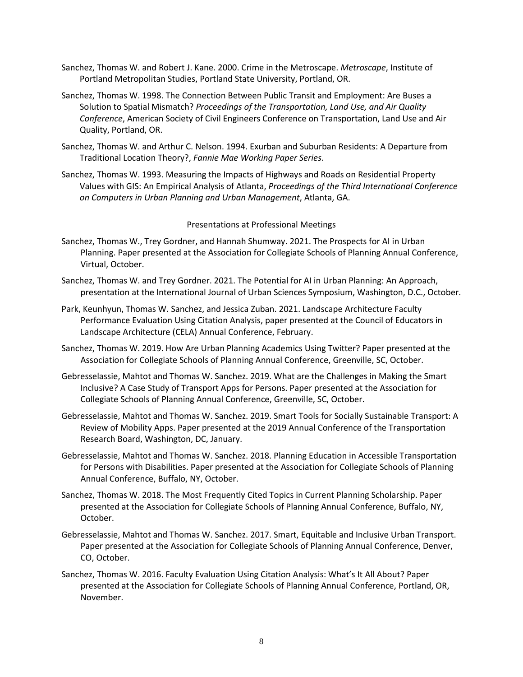- Sanchez, Thomas W. and Robert J. Kane. 2000. Crime in the Metroscape. *Metroscape*, Institute of Portland Metropolitan Studies, Portland State University, Portland, OR.
- Sanchez, Thomas W. 1998. The Connection Between Public Transit and Employment: Are Buses a Solution to Spatial Mismatch? *Proceedings of the Transportation, Land Use, and Air Quality Conference*, American Society of Civil Engineers Conference on Transportation, Land Use and Air Quality, Portland, OR.
- Sanchez, Thomas W. and Arthur C. Nelson. 1994. Exurban and Suburban Residents: A Departure from Traditional Location Theory?, *Fannie Mae Working Paper Series*.
- Sanchez, Thomas W. 1993. Measuring the Impacts of Highways and Roads on Residential Property Values with GIS: An Empirical Analysis of Atlanta, *Proceedings of the Third International Conference on Computers in Urban Planning and Urban Management*, Atlanta, GA.

### Presentations at Professional Meetings

- Sanchez, Thomas W., Trey Gordner, and Hannah Shumway. 2021. The Prospects for AI in Urban Planning. Paper presented at the Association for Collegiate Schools of Planning Annual Conference, Virtual, October.
- Sanchez, Thomas W. and Trey Gordner. 2021. The Potential for AI in Urban Planning: An Approach, presentation at the International Journal of Urban Sciences Symposium, Washington, D.C., October.
- Park, Keunhyun, Thomas W. Sanchez, and Jessica Zuban. 2021. Landscape Architecture Faculty Performance Evaluation Using Citation Analysis, paper presented at the Council of Educators in Landscape Architecture (CELA) Annual Conference, February.
- Sanchez, Thomas W. 2019. How Are Urban Planning Academics Using Twitter? Paper presented at the Association for Collegiate Schools of Planning Annual Conference, Greenville, SC, October.
- Gebresselassie, Mahtot and Thomas W. Sanchez. 2019. What are the Challenges in Making the Smart Inclusive? A Case Study of Transport Apps for Persons. Paper presented at the Association for Collegiate Schools of Planning Annual Conference, Greenville, SC, October.
- Gebresselassie, Mahtot and Thomas W. Sanchez. 2019. Smart Tools for Socially Sustainable Transport: A Review of Mobility Apps. Paper presented at the 2019 Annual Conference of the Transportation Research Board, Washington, DC, January.
- Gebresselassie, Mahtot and Thomas W. Sanchez. 2018. Planning Education in Accessible Transportation for Persons with Disabilities. Paper presented at the Association for Collegiate Schools of Planning Annual Conference, Buffalo, NY, October.
- Sanchez, Thomas W. 2018. The Most Frequently Cited Topics in Current Planning Scholarship. Paper presented at the Association for Collegiate Schools of Planning Annual Conference, Buffalo, NY, October.
- Gebresselassie, Mahtot and Thomas W. Sanchez. 2017. Smart, Equitable and Inclusive Urban Transport. Paper presented at the Association for Collegiate Schools of Planning Annual Conference, Denver, CO, October.
- Sanchez, Thomas W. 2016. Faculty Evaluation Using Citation Analysis: What's It All About? Paper presented at the Association for Collegiate Schools of Planning Annual Conference, Portland, OR, November.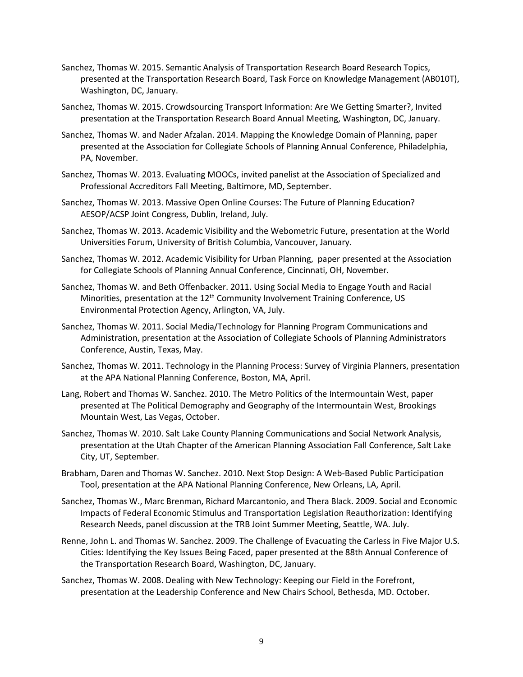- Sanchez, Thomas W. 2015. Semantic Analysis of Transportation Research Board Research Topics, presented at the Transportation Research Board, Task Force on Knowledge Management (AB010T), Washington, DC, January.
- Sanchez, Thomas W. 2015. Crowdsourcing Transport Information: Are We Getting Smarter?, Invited presentation at the Transportation Research Board Annual Meeting, Washington, DC, January.
- Sanchez, Thomas W. and Nader Afzalan. 2014. Mapping the Knowledge Domain of Planning, paper presented at the Association for Collegiate Schools of Planning Annual Conference, Philadelphia, PA, November.
- Sanchez, Thomas W. 2013. Evaluating MOOCs, invited panelist at the Association of Specialized and Professional Accreditors Fall Meeting, Baltimore, MD, September.
- Sanchez, Thomas W. 2013. Massive Open Online Courses: The Future of Planning Education? AESOP/ACSP Joint Congress, Dublin, Ireland, July.
- Sanchez, Thomas W. 2013. Academic Visibility and the Webometric Future, presentation at the World Universities Forum, University of British Columbia, Vancouver, January.
- Sanchez, Thomas W. 2012. Academic Visibility for Urban Planning, paper presented at the Association for Collegiate Schools of Planning Annual Conference, Cincinnati, OH, November.
- Sanchez, Thomas W. and Beth Offenbacker. 2011. Using Social Media to Engage Youth and Racial Minorities, presentation at the  $12<sup>th</sup>$  Community Involvement Training Conference, US Environmental Protection Agency, Arlington, VA, July.
- Sanchez, Thomas W. 2011. Social Media/Technology for Planning Program Communications and Administration, presentation at the Association of Collegiate Schools of Planning Administrators Conference, Austin, Texas, May.
- Sanchez, Thomas W. 2011. Technology in the Planning Process: Survey of Virginia Planners, presentation at the APA National Planning Conference, Boston, MA, April.
- Lang, Robert and Thomas W. Sanchez. 2010. The Metro Politics of the Intermountain West, paper presented at The Political Demography and Geography of the Intermountain West, Brookings Mountain West, Las Vegas, October.
- Sanchez, Thomas W. 2010. Salt Lake County Planning Communications and Social Network Analysis, presentation at the Utah Chapter of the American Planning Association Fall Conference, Salt Lake City, UT, September.
- Brabham, Daren and Thomas W. Sanchez. 2010. Next Stop Design: A Web-Based Public Participation Tool, presentation at the APA National Planning Conference, New Orleans, LA, April.
- Sanchez, Thomas W., Marc Brenman, Richard Marcantonio, and Thera Black. 2009. Social and Economic Impacts of Federal Economic Stimulus and Transportation Legislation Reauthorization: Identifying Research Needs, panel discussion at the TRB Joint Summer Meeting, Seattle, WA. July.
- Renne, John L. and Thomas W. Sanchez. 2009. The Challenge of Evacuating the Carless in Five Major U.S. Cities: Identifying the Key Issues Being Faced, paper presented at the 88th Annual Conference of the Transportation Research Board, Washington, DC, January.
- Sanchez, Thomas W. 2008. Dealing with New Technology: Keeping our Field in the Forefront, presentation at the Leadership Conference and New Chairs School, Bethesda, MD. October.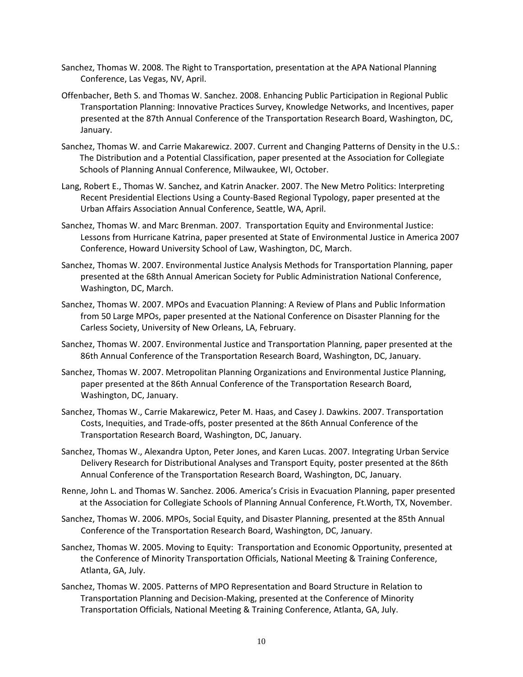- Sanchez, Thomas W. 2008. The Right to Transportation, presentation at the APA National Planning Conference, Las Vegas, NV, April.
- Offenbacher, Beth S. and Thomas W. Sanchez. 2008. Enhancing Public Participation in Regional Public Transportation Planning: Innovative Practices Survey, Knowledge Networks, and Incentives, paper presented at the 87th Annual Conference of the Transportation Research Board, Washington, DC, January.
- Sanchez, Thomas W. and Carrie Makarewicz. 2007. Current and Changing Patterns of Density in the U.S.: The Distribution and a Potential Classification, paper presented at the Association for Collegiate Schools of Planning Annual Conference, Milwaukee, WI, October.
- Lang, Robert E., Thomas W. Sanchez, and Katrin Anacker. 2007. The New Metro Politics: Interpreting Recent Presidential Elections Using a County-Based Regional Typology, paper presented at the Urban Affairs Association Annual Conference, Seattle, WA, April.
- Sanchez, Thomas W. and Marc Brenman. 2007. Transportation Equity and Environmental Justice: Lessons from Hurricane Katrina, paper presented at State of Environmental Justice in America 2007 Conference, Howard University School of Law, Washington, DC, March.
- Sanchez, Thomas W. 2007. Environmental Justice Analysis Methods for Transportation Planning, paper presented at the 68th Annual American Society for Public Administration National Conference, Washington, DC, March.
- Sanchez, Thomas W. 2007. MPOs and Evacuation Planning: A Review of Plans and Public Information from 50 Large MPOs, paper presented at the National Conference on Disaster Planning for the Carless Society, University of New Orleans, LA, February.
- Sanchez, Thomas W. 2007. Environmental Justice and Transportation Planning, paper presented at the 86th Annual Conference of the Transportation Research Board, Washington, DC, January.
- Sanchez, Thomas W. 2007. Metropolitan Planning Organizations and Environmental Justice Planning, paper presented at the 86th Annual Conference of the Transportation Research Board, Washington, DC, January.
- Sanchez, Thomas W., Carrie Makarewicz, Peter M. Haas, and Casey J. Dawkins. 2007. Transportation Costs, Inequities, and Trade-offs, poster presented at the 86th Annual Conference of the Transportation Research Board, Washington, DC, January.
- Sanchez, Thomas W., Alexandra Upton, Peter Jones, and Karen Lucas. 2007. Integrating Urban Service Delivery Research for Distributional Analyses and Transport Equity, poster presented at the 86th Annual Conference of the Transportation Research Board, Washington, DC, January.
- Renne, John L. and Thomas W. Sanchez. 2006. America's Crisis in Evacuation Planning, paper presented at the Association for Collegiate Schools of Planning Annual Conference, Ft.Worth, TX, November.
- Sanchez, Thomas W. 2006. MPOs, Social Equity, and Disaster Planning, presented at the 85th Annual Conference of the Transportation Research Board, Washington, DC, January.
- Sanchez, Thomas W. 2005. Moving to Equity: Transportation and Economic Opportunity, presented at the Conference of Minority Transportation Officials, National Meeting & Training Conference, Atlanta, GA, July.
- Sanchez, Thomas W. 2005. Patterns of MPO Representation and Board Structure in Relation to Transportation Planning and Decision-Making, presented at the Conference of Minority Transportation Officials, National Meeting & Training Conference, Atlanta, GA, July.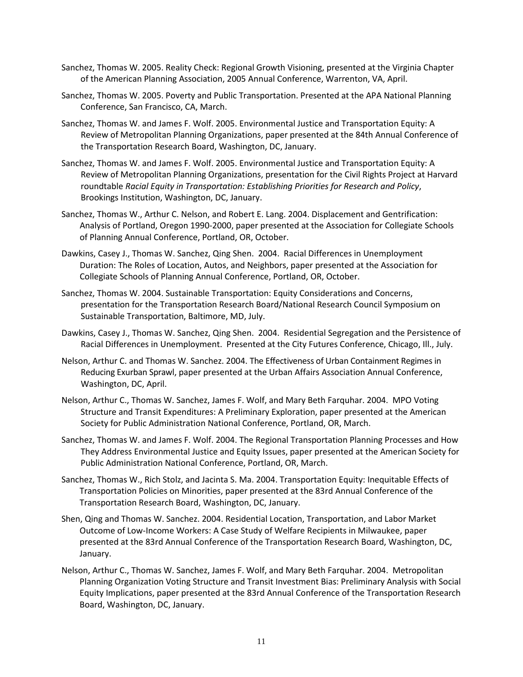- Sanchez, Thomas W. 2005. Reality Check: Regional Growth Visioning, presented at the Virginia Chapter of the American Planning Association, 2005 Annual Conference, Warrenton, VA, April.
- Sanchez, Thomas W. 2005. Poverty and Public Transportation. Presented at the APA National Planning Conference, San Francisco, CA, March.
- Sanchez, Thomas W. and James F. Wolf. 2005. Environmental Justice and Transportation Equity: A Review of Metropolitan Planning Organizations, paper presented at the 84th Annual Conference of the Transportation Research Board, Washington, DC, January.
- Sanchez, Thomas W. and James F. Wolf. 2005. Environmental Justice and Transportation Equity: A Review of Metropolitan Planning Organizations, presentation for the Civil Rights Project at Harvard roundtable *Racial Equity in Transportation: Establishing Priorities for Research and Policy*, Brookings Institution, Washington, DC, January.
- Sanchez, Thomas W., Arthur C. Nelson, and Robert E. Lang. 2004. Displacement and Gentrification: Analysis of Portland, Oregon 1990-2000, paper presented at the Association for Collegiate Schools of Planning Annual Conference, Portland, OR, October.
- Dawkins, Casey J., Thomas W. Sanchez, Qing Shen. 2004. Racial Differences in Unemployment Duration: The Roles of Location, Autos, and Neighbors, paper presented at the Association for Collegiate Schools of Planning Annual Conference, Portland, OR, October.
- Sanchez, Thomas W. 2004. Sustainable Transportation: Equity Considerations and Concerns, presentation for the Transportation Research Board/National Research Council Symposium on Sustainable Transportation, Baltimore, MD, July.
- Dawkins, Casey J., Thomas W. Sanchez, Qing Shen. 2004. Residential Segregation and the Persistence of Racial Differences in Unemployment. Presented at the City Futures Conference, Chicago, Ill., July.
- Nelson, Arthur C. and Thomas W. Sanchez. 2004. The Effectiveness of Urban Containment Regimes in Reducing Exurban Sprawl, paper presented at the Urban Affairs Association Annual Conference, Washington, DC, April.
- Nelson, Arthur C., Thomas W. Sanchez, James F. Wolf, and Mary Beth Farquhar. 2004. MPO Voting Structure and Transit Expenditures: A Preliminary Exploration, paper presented at the American Society for Public Administration National Conference, Portland, OR, March.
- Sanchez, Thomas W. and James F. Wolf. 2004. The Regional Transportation Planning Processes and How They Address Environmental Justice and Equity Issues, paper presented at the American Society for Public Administration National Conference, Portland, OR, March.
- Sanchez, Thomas W., Rich Stolz, and Jacinta S. Ma. 2004. Transportation Equity: Inequitable Effects of Transportation Policies on Minorities, paper presented at the 83rd Annual Conference of the Transportation Research Board, Washington, DC, January.
- Shen, Qing and Thomas W. Sanchez. 2004. Residential Location, Transportation, and Labor Market Outcome of Low-Income Workers: A Case Study of Welfare Recipients in Milwaukee, paper presented at the 83rd Annual Conference of the Transportation Research Board, Washington, DC, January.
- Nelson, Arthur C., Thomas W. Sanchez, James F. Wolf, and Mary Beth Farquhar. 2004. Metropolitan Planning Organization Voting Structure and Transit Investment Bias: Preliminary Analysis with Social Equity Implications, paper presented at the 83rd Annual Conference of the Transportation Research Board, Washington, DC, January.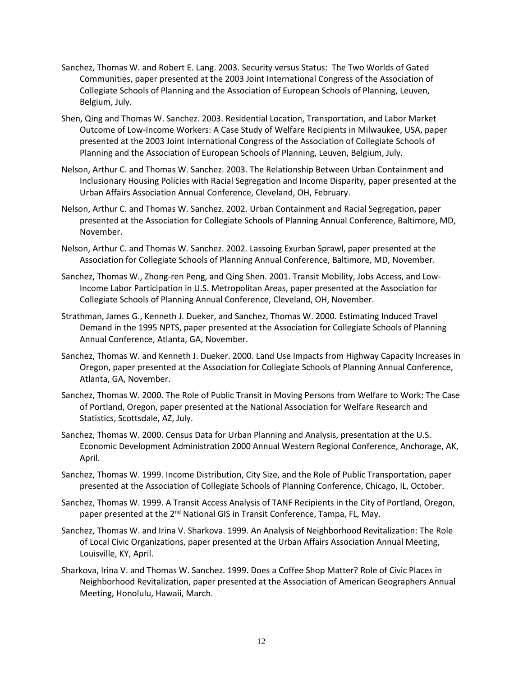- Sanchez, Thomas W. and Robert E. Lang. 2003. Security versus Status: The Two Worlds of Gated Communities, paper presented at the 2003 Joint International Congress of the Association of Collegiate Schools of Planning and the Association of European Schools of Planning, Leuven, Belgium, July.
- Shen, Qing and Thomas W. Sanchez. 2003. Residential Location, Transportation, and Labor Market Outcome of Low-Income Workers: A Case Study of Welfare Recipients in Milwaukee, USA, paper presented at the 2003 Joint International Congress of the Association of Collegiate Schools of Planning and the Association of European Schools of Planning, Leuven, Belgium, July.
- Nelson, Arthur C. and Thomas W. Sanchez. 2003. The Relationship Between Urban Containment and Inclusionary Housing Policies with Racial Segregation and Income Disparity, paper presented at the Urban Affairs Association Annual Conference, Cleveland, OH, February.
- Nelson, Arthur C. and Thomas W. Sanchez. 2002. Urban Containment and Racial Segregation, paper presented at the Association for Collegiate Schools of Planning Annual Conference, Baltimore, MD, November.
- Nelson, Arthur C. and Thomas W. Sanchez. 2002. Lassoing Exurban Sprawl, paper presented at the Association for Collegiate Schools of Planning Annual Conference, Baltimore, MD, November.
- Sanchez, Thomas W., Zhong-ren Peng, and Qing Shen. 2001. Transit Mobility, Jobs Access, and Low-Income Labor Participation in U.S. Metropolitan Areas, paper presented at the Association for Collegiate Schools of Planning Annual Conference, Cleveland, OH, November.
- Strathman, James G., Kenneth J. Dueker, and Sanchez, Thomas W. 2000. Estimating Induced Travel Demand in the 1995 NPTS, paper presented at the Association for Collegiate Schools of Planning Annual Conference, Atlanta, GA, November.
- Sanchez, Thomas W. and Kenneth J. Dueker. 2000. Land Use Impacts from Highway Capacity Increases in Oregon, paper presented at the Association for Collegiate Schools of Planning Annual Conference, Atlanta, GA, November.
- Sanchez, Thomas W. 2000. The Role of Public Transit in Moving Persons from Welfare to Work: The Case of Portland, Oregon, paper presented at the National Association for Welfare Research and Statistics, Scottsdale, AZ, July.
- Sanchez, Thomas W. 2000. Census Data for Urban Planning and Analysis, presentation at the U.S. Economic Development Administration 2000 Annual Western Regional Conference, Anchorage, AK, April.
- Sanchez, Thomas W. 1999. Income Distribution, City Size, and the Role of Public Transportation, paper presented at the Association of Collegiate Schools of Planning Conference, Chicago, IL, October.
- Sanchez, Thomas W. 1999. A Transit Access Analysis of TANF Recipients in the City of Portland, Oregon, paper presented at the 2<sup>nd</sup> National GIS in Transit Conference, Tampa, FL, May.
- Sanchez, Thomas W. and Irina V. Sharkova. 1999. An Analysis of Neighborhood Revitalization: The Role of Local Civic Organizations, paper presented at the Urban Affairs Association Annual Meeting, Louisville, KY, April.
- Sharkova, Irina V. and Thomas W. Sanchez. 1999. Does a Coffee Shop Matter? Role of Civic Places in Neighborhood Revitalization, paper presented at the Association of American Geographers Annual Meeting, Honolulu, Hawaii, March.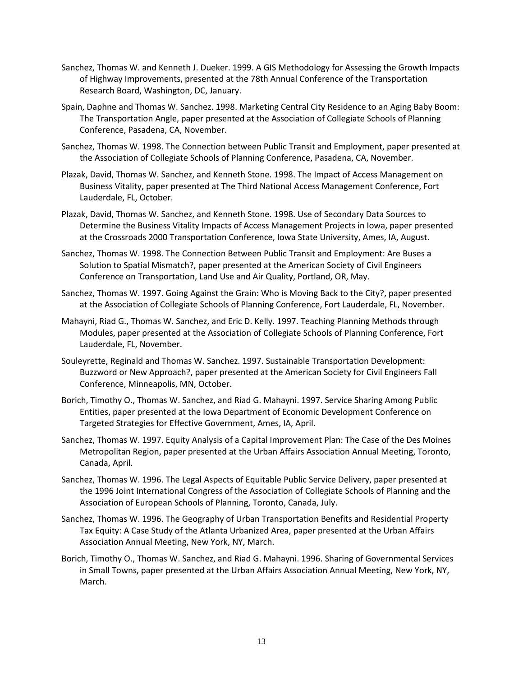- Sanchez, Thomas W. and Kenneth J. Dueker. 1999. A GIS Methodology for Assessing the Growth Impacts of Highway Improvements, presented at the 78th Annual Conference of the Transportation Research Board, Washington, DC, January.
- Spain, Daphne and Thomas W. Sanchez. 1998. Marketing Central City Residence to an Aging Baby Boom: The Transportation Angle, paper presented at the Association of Collegiate Schools of Planning Conference, Pasadena, CA, November.
- Sanchez, Thomas W. 1998. The Connection between Public Transit and Employment, paper presented at the Association of Collegiate Schools of Planning Conference, Pasadena, CA, November.
- Plazak, David, Thomas W. Sanchez, and Kenneth Stone. 1998. The Impact of Access Management on Business Vitality, paper presented at The Third National Access Management Conference, Fort Lauderdale, FL, October.
- Plazak, David, Thomas W. Sanchez, and Kenneth Stone. 1998. Use of Secondary Data Sources to Determine the Business Vitality Impacts of Access Management Projects in Iowa, paper presented at the Crossroads 2000 Transportation Conference, Iowa State University, Ames, IA, August.
- Sanchez, Thomas W. 1998. The Connection Between Public Transit and Employment: Are Buses a Solution to Spatial Mismatch?, paper presented at the American Society of Civil Engineers Conference on Transportation, Land Use and Air Quality, Portland, OR, May.
- Sanchez, Thomas W. 1997. Going Against the Grain: Who is Moving Back to the City?, paper presented at the Association of Collegiate Schools of Planning Conference, Fort Lauderdale, FL, November.
- Mahayni, Riad G., Thomas W. Sanchez, and Eric D. Kelly. 1997. Teaching Planning Methods through Modules, paper presented at the Association of Collegiate Schools of Planning Conference, Fort Lauderdale, FL, November.
- Souleyrette, Reginald and Thomas W. Sanchez. 1997. Sustainable Transportation Development: Buzzword or New Approach?, paper presented at the American Society for Civil Engineers Fall Conference, Minneapolis, MN, October.
- Borich, Timothy O., Thomas W. Sanchez, and Riad G. Mahayni. 1997. Service Sharing Among Public Entities, paper presented at the Iowa Department of Economic Development Conference on Targeted Strategies for Effective Government, Ames, IA, April.
- Sanchez, Thomas W. 1997. Equity Analysis of a Capital Improvement Plan: The Case of the Des Moines Metropolitan Region, paper presented at the Urban Affairs Association Annual Meeting, Toronto, Canada, April.
- Sanchez, Thomas W. 1996. The Legal Aspects of Equitable Public Service Delivery, paper presented at the 1996 Joint International Congress of the Association of Collegiate Schools of Planning and the Association of European Schools of Planning, Toronto, Canada, July.
- Sanchez, Thomas W. 1996. The Geography of Urban Transportation Benefits and Residential Property Tax Equity: A Case Study of the Atlanta Urbanized Area, paper presented at the Urban Affairs Association Annual Meeting, New York, NY, March.
- Borich, Timothy O., Thomas W. Sanchez, and Riad G. Mahayni. 1996. Sharing of Governmental Services in Small Towns, paper presented at the Urban Affairs Association Annual Meeting, New York, NY, March.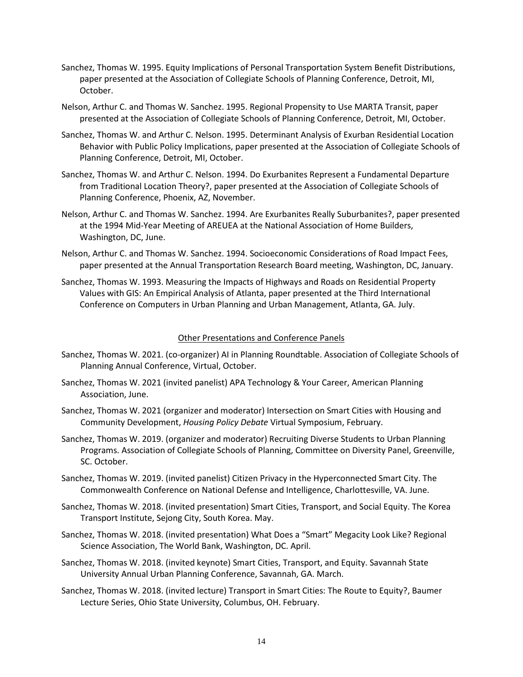- Sanchez, Thomas W. 1995. Equity Implications of Personal Transportation System Benefit Distributions, paper presented at the Association of Collegiate Schools of Planning Conference, Detroit, MI, October.
- Nelson, Arthur C. and Thomas W. Sanchez. 1995. Regional Propensity to Use MARTA Transit, paper presented at the Association of Collegiate Schools of Planning Conference, Detroit, MI, October.
- Sanchez, Thomas W. and Arthur C. Nelson. 1995. Determinant Analysis of Exurban Residential Location Behavior with Public Policy Implications, paper presented at the Association of Collegiate Schools of Planning Conference, Detroit, MI, October.
- Sanchez, Thomas W. and Arthur C. Nelson. 1994. Do Exurbanites Represent a Fundamental Departure from Traditional Location Theory?, paper presented at the Association of Collegiate Schools of Planning Conference, Phoenix, AZ, November.
- Nelson, Arthur C. and Thomas W. Sanchez. 1994. Are Exurbanites Really Suburbanites?, paper presented at the 1994 Mid-Year Meeting of AREUEA at the National Association of Home Builders, Washington, DC, June.
- Nelson, Arthur C. and Thomas W. Sanchez. 1994. Socioeconomic Considerations of Road Impact Fees, paper presented at the Annual Transportation Research Board meeting, Washington, DC, January.
- Sanchez, Thomas W. 1993. Measuring the Impacts of Highways and Roads on Residential Property Values with GIS: An Empirical Analysis of Atlanta, paper presented at the Third International Conference on Computers in Urban Planning and Urban Management, Atlanta, GA. July.

### Other Presentations and Conference Panels

- Sanchez, Thomas W. 2021. (co-organizer) AI in Planning Roundtable. Association of Collegiate Schools of Planning Annual Conference, Virtual, October.
- Sanchez, Thomas W. 2021 (invited panelist) APA Technology & Your Career, American Planning Association, June.
- Sanchez, Thomas W. 2021 (organizer and moderator) Intersection on Smart Cities with Housing and Community Development, *Housing Policy Debate* Virtual Symposium, February.
- Sanchez, Thomas W. 2019. (organizer and moderator) Recruiting Diverse Students to Urban Planning Programs. Association of Collegiate Schools of Planning, Committee on Diversity Panel, Greenville, SC. October.
- Sanchez, Thomas W. 2019. (invited panelist) Citizen Privacy in the Hyperconnected Smart City. The Commonwealth Conference on National Defense and Intelligence, Charlottesville, VA. June.
- Sanchez, Thomas W. 2018. (invited presentation) Smart Cities, Transport, and Social Equity. The Korea Transport Institute, Sejong City, South Korea. May.
- Sanchez, Thomas W. 2018. (invited presentation) What Does a "Smart" Megacity Look Like? Regional Science Association, The World Bank, Washington, DC. April.
- Sanchez, Thomas W. 2018. (invited keynote) Smart Cities, Transport, and Equity. Savannah State University Annual Urban Planning Conference, Savannah, GA. March.
- Sanchez, Thomas W. 2018. (invited lecture) Transport in Smart Cities: The Route to Equity?, Baumer Lecture Series, Ohio State University, Columbus, OH. February.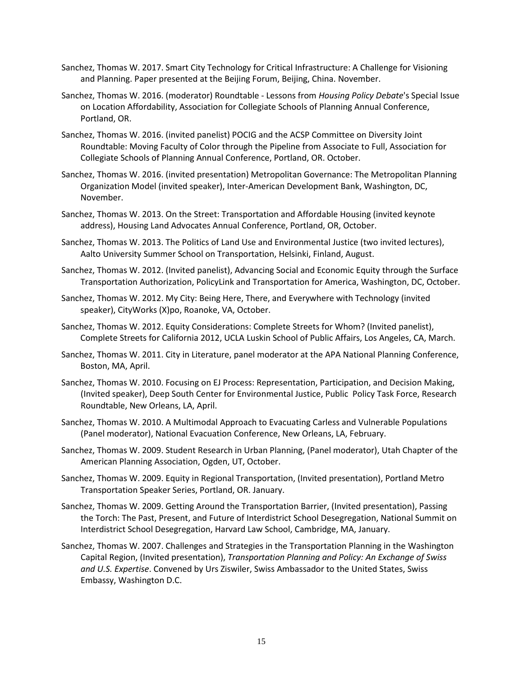- Sanchez, Thomas W. 2017. Smart City Technology for Critical Infrastructure: A Challenge for Visioning and Planning. Paper presented at the Beijing Forum, Beijing, China. November.
- Sanchez, Thomas W. 2016. (moderator) Roundtable Lessons from *Housing Policy Debate*'s Special Issue on Location Affordability, Association for Collegiate Schools of Planning Annual Conference, Portland, OR.
- Sanchez, Thomas W. 2016. (invited panelist) POCIG and the ACSP Committee on Diversity Joint Roundtable: Moving Faculty of Color through the Pipeline from Associate to Full, Association for Collegiate Schools of Planning Annual Conference, Portland, OR. October.
- Sanchez, Thomas W. 2016. (invited presentation) Metropolitan Governance: The Metropolitan Planning Organization Model (invited speaker), Inter-American Development Bank, Washington, DC, November.
- Sanchez, Thomas W. 2013. On the Street: Transportation and Affordable Housing (invited keynote address), Housing Land Advocates Annual Conference, Portland, OR, October.
- Sanchez, Thomas W. 2013. The Politics of Land Use and Environmental Justice (two invited lectures), Aalto University Summer School on Transportation, Helsinki, Finland, August.
- Sanchez, Thomas W. 2012. (Invited panelist), Advancing Social and Economic Equity through the Surface Transportation Authorization, PolicyLink and Transportation for America, Washington, DC, October.
- Sanchez, Thomas W. 2012. My City: Being Here, There, and Everywhere with Technology (invited speaker), CityWorks (X)po, Roanoke, VA, October.
- Sanchez, Thomas W. 2012. Equity Considerations: Complete Streets for Whom? (Invited panelist), Complete Streets for California 2012, UCLA Luskin School of Public Affairs, Los Angeles, CA, March.
- Sanchez, Thomas W. 2011. City in Literature, panel moderator at the APA National Planning Conference, Boston, MA, April.
- Sanchez, Thomas W. 2010. Focusing on EJ Process: Representation, Participation, and Decision Making, (Invited speaker), Deep South Center for Environmental Justice, Public Policy Task Force, Research Roundtable, New Orleans, LA, April.
- Sanchez, Thomas W. 2010. A Multimodal Approach to Evacuating Carless and Vulnerable Populations (Panel moderator), National Evacuation Conference, New Orleans, LA, February.
- Sanchez, Thomas W. 2009. Student Research in Urban Planning, (Panel moderator), Utah Chapter of the American Planning Association, Ogden, UT, October.
- Sanchez, Thomas W. 2009. Equity in Regional Transportation, (Invited presentation), Portland Metro Transportation Speaker Series, Portland, OR. January.
- Sanchez, Thomas W. 2009. Getting Around the Transportation Barrier, (Invited presentation), Passing the Torch: The Past, Present, and Future of Interdistrict School Desegregation, National Summit on Interdistrict School Desegregation, Harvard Law School, Cambridge, MA, January.
- Sanchez, Thomas W. 2007. Challenges and Strategies in the Transportation Planning in the Washington Capital Region, (Invited presentation), *Transportation Planning and Policy: An Exchange of Swiss and U.S. Expertise*. Convened by Urs Ziswiler, Swiss Ambassador to the United States, Swiss Embassy, Washington D.C.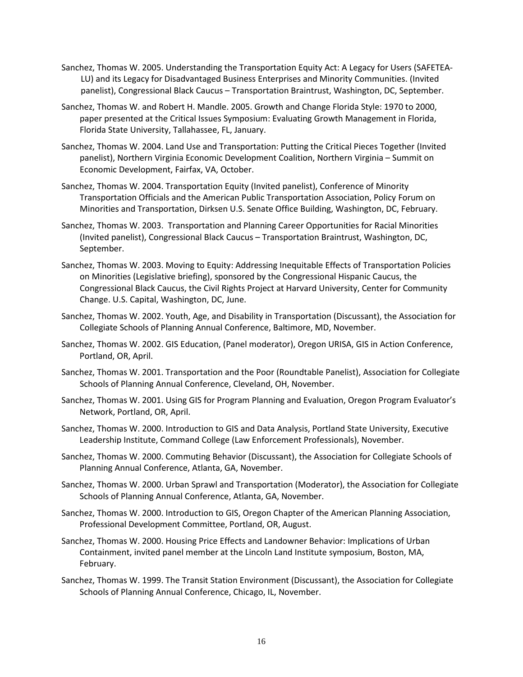- Sanchez, Thomas W. 2005. Understanding the Transportation Equity Act: A Legacy for Users (SAFETEA-LU) and its Legacy for Disadvantaged Business Enterprises and Minority Communities. (Invited panelist), Congressional Black Caucus – Transportation Braintrust, Washington, DC, September.
- Sanchez, Thomas W. and Robert H. Mandle. 2005. Growth and Change Florida Style: 1970 to 2000, paper presented at the Critical Issues Symposium: Evaluating Growth Management in Florida, Florida State University, Tallahassee, FL, January.
- Sanchez, Thomas W. 2004. Land Use and Transportation: Putting the Critical Pieces Together (Invited panelist), Northern Virginia Economic Development Coalition, Northern Virginia – Summit on Economic Development, Fairfax, VA, October.
- Sanchez, Thomas W. 2004. Transportation Equity (Invited panelist), Conference of Minority Transportation Officials and the American Public Transportation Association, Policy Forum on Minorities and Transportation, Dirksen U.S. Senate Office Building, Washington, DC, February.
- Sanchez, Thomas W. 2003. Transportation and Planning Career Opportunities for Racial Minorities (Invited panelist), Congressional Black Caucus – Transportation Braintrust, Washington, DC, September.
- Sanchez, Thomas W. 2003. Moving to Equity: Addressing Inequitable Effects of Transportation Policies on Minorities (Legislative briefing), sponsored by the Congressional Hispanic Caucus, the Congressional Black Caucus, the Civil Rights Project at Harvard University, Center for Community Change. U.S. Capital, Washington, DC, June.
- Sanchez, Thomas W. 2002. Youth, Age, and Disability in Transportation (Discussant), the Association for Collegiate Schools of Planning Annual Conference, Baltimore, MD, November.
- Sanchez, Thomas W. 2002. GIS Education, (Panel moderator), Oregon URISA, GIS in Action Conference, Portland, OR, April.
- Sanchez, Thomas W. 2001. Transportation and the Poor (Roundtable Panelist), Association for Collegiate Schools of Planning Annual Conference, Cleveland, OH, November.
- Sanchez, Thomas W. 2001. Using GIS for Program Planning and Evaluation, Oregon Program Evaluator's Network, Portland, OR, April.
- Sanchez, Thomas W. 2000. Introduction to GIS and Data Analysis, Portland State University, Executive Leadership Institute, Command College (Law Enforcement Professionals), November.
- Sanchez, Thomas W. 2000. Commuting Behavior (Discussant), the Association for Collegiate Schools of Planning Annual Conference, Atlanta, GA, November.
- Sanchez, Thomas W. 2000. Urban Sprawl and Transportation (Moderator), the Association for Collegiate Schools of Planning Annual Conference, Atlanta, GA, November.
- Sanchez, Thomas W. 2000. Introduction to GIS, Oregon Chapter of the American Planning Association, Professional Development Committee, Portland, OR, August.
- Sanchez, Thomas W. 2000. Housing Price Effects and Landowner Behavior: Implications of Urban Containment, invited panel member at the Lincoln Land Institute symposium, Boston, MA, February.
- Sanchez, Thomas W. 1999. The Transit Station Environment (Discussant), the Association for Collegiate Schools of Planning Annual Conference, Chicago, IL, November.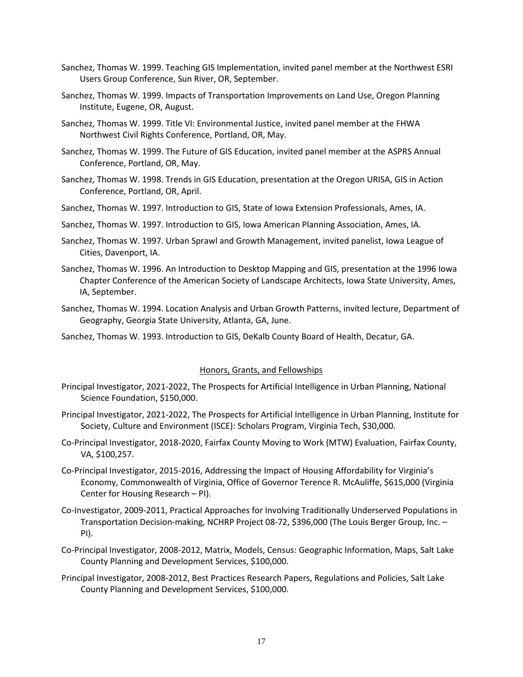- Sanchez, Thomas W. 1999. Teaching GIS Implementation, invited panel member at the Northwest ESRI Users Group Conference, Sun River, OR, September.
- Sanchez, Thomas W. 1999. Impacts of Transportation Improvements on Land Use, Oregon Planning Institute, Eugene, OR, August.
- Sanchez, Thomas W. 1999. Title VI: Environmental Justice, invited panel member at the FHWA Northwest Civil Rights Conference, Portland, OR, May.
- Sanchez, Thomas W. 1999. The Future of GIS Education, invited panel member at the ASPRS Annual Conference, Portland, OR, May.
- Sanchez, Thomas W. 1998. Trends in GIS Education, presentation at the Oregon URISA, GIS in Action Conference, Portland, OR, April.
- Sanchez, Thomas W. 1997. Introduction to GIS, State of Iowa Extension Professionals, Ames, IA.
- Sanchez, Thomas W. 1997. Introduction to GIS, Iowa American Planning Association, Ames, IA.
- Sanchez, Thomas W. 1997. Urban Sprawl and Growth Management, invited panelist, Iowa League of Cities, Davenport, IA.
- Sanchez, Thomas W. 1996. An Introduction to Desktop Mapping and GIS, presentation at the 1996 Iowa Chapter Conference of the American Society of Landscape Architects, Iowa State University, Ames, IA, September.
- Sanchez, Thomas W. 1994. Location Analysis and Urban Growth Patterns, invited lecture, Department of Geography, Georgia State University, Atlanta, GA, June.
- Sanchez, Thomas W. 1993. Introduction to GIS, DeKalb County Board of Health, Decatur, GA.

#### Honors, Grants, and Fellowships

- Principal Investigator, 2021-2022, The Prospects for Artificial Intelligence in Urban Planning, National Science Foundation, \$150,000.
- Principal Investigator, 2021-2022, The Prospects for Artificial Intelligence in Urban Planning, Institute for Society, Culture and Environment (ISCE): Scholars Program, Virginia Tech, \$30,000.
- Co-Principal Investigator, 2018-2020, Fairfax County Moving to Work (MTW) Evaluation, Fairfax County, VA, \$100,257.
- Co-Principal Investigator, 2015-2016, Addressing the Impact of Housing Affordability for Virginia's Economy, Commonwealth of Virginia, Office of Governor Terence R. McAuliffe, \$615,000 (Virginia Center for Housing Research – PI).
- Co-Investigator, 2009-2011, Practical Approaches for Involving Traditionally Underserved Populations in Transportation Decision-making, NCHRP Project 08-72, \$396,000 (The Louis Berger Group, Inc. – PI).
- Co-Principal Investigator, 2008-2012, Matrix, Models, Census: Geographic Information, Maps, Salt Lake County Planning and Development Services, \$100,000.
- Principal Investigator, 2008-2012, Best Practices Research Papers, Regulations and Policies, Salt Lake County Planning and Development Services, \$100,000.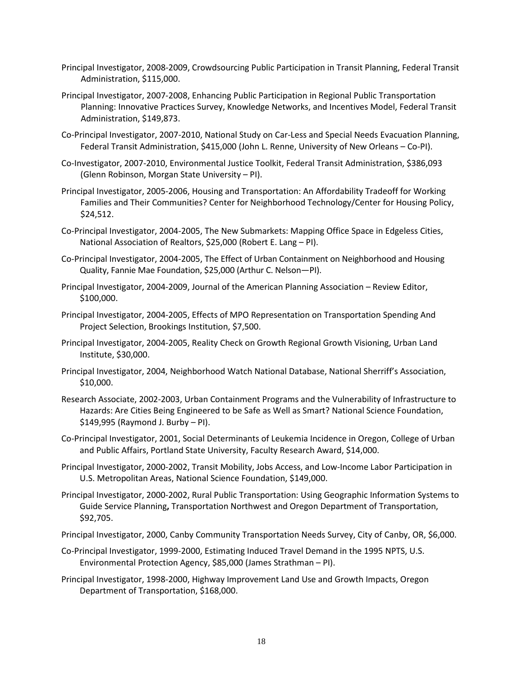- Principal Investigator, 2008-2009, Crowdsourcing Public Participation in Transit Planning, Federal Transit Administration, \$115,000.
- Principal Investigator, 2007-2008, Enhancing Public Participation in Regional Public Transportation Planning: Innovative Practices Survey, Knowledge Networks, and Incentives Model, Federal Transit Administration, \$149,873.
- Co-Principal Investigator, 2007-2010, National Study on Car-Less and Special Needs Evacuation Planning, Federal Transit Administration, \$415,000 (John L. Renne, University of New Orleans – Co-PI).
- Co-Investigator, 2007-2010, Environmental Justice Toolkit, Federal Transit Administration, \$386,093 (Glenn Robinson, Morgan State University – PI).
- Principal Investigator, 2005-2006, Housing and Transportation: An Affordability Tradeoff for Working Families and Their Communities? Center for Neighborhood Technology/Center for Housing Policy, \$24,512.
- Co-Principal Investigator, 2004-2005, The New Submarkets: Mapping Office Space in Edgeless Cities, National Association of Realtors, \$25,000 (Robert E. Lang – PI).
- Co-Principal Investigator, 2004-2005, The Effect of Urban Containment on Neighborhood and Housing Quality, Fannie Mae Foundation, \$25,000 (Arthur C. Nelson—PI).
- Principal Investigator, 2004-2009, Journal of the American Planning Association Review Editor, \$100,000.
- Principal Investigator, 2004-2005, Effects of MPO Representation on Transportation Spending And Project Selection, Brookings Institution, \$7,500.
- Principal Investigator, 2004-2005, Reality Check on Growth Regional Growth Visioning, Urban Land Institute, \$30,000.
- Principal Investigator, 2004, Neighborhood Watch National Database, National Sherriff's Association, \$10,000.
- Research Associate, 2002-2003, Urban Containment Programs and the Vulnerability of Infrastructure to Hazards: Are Cities Being Engineered to be Safe as Well as Smart? National Science Foundation, \$149,995 (Raymond J. Burby – PI).
- Co-Principal Investigator, 2001, Social Determinants of Leukemia Incidence in Oregon, College of Urban and Public Affairs, Portland State University, Faculty Research Award, \$14,000.
- Principal Investigator, 2000-2002, Transit Mobility, Jobs Access, and Low-Income Labor Participation in U.S. Metropolitan Areas, National Science Foundation, \$149,000.
- Principal Investigator, 2000-2002, Rural Public Transportation: Using Geographic Information Systems to Guide Service Planning**,** Transportation Northwest and Oregon Department of Transportation, \$92,705.
- Principal Investigator, 2000, Canby Community Transportation Needs Survey, City of Canby, OR, \$6,000.
- Co-Principal Investigator, 1999-2000, Estimating Induced Travel Demand in the 1995 NPTS, U.S. Environmental Protection Agency, \$85,000 (James Strathman – PI).
- Principal Investigator, 1998-2000, Highway Improvement Land Use and Growth Impacts, Oregon Department of Transportation, \$168,000.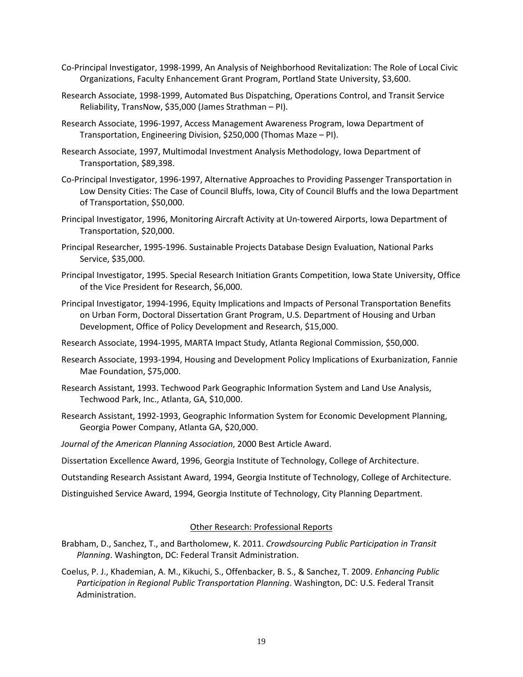- Co-Principal Investigator, 1998-1999, An Analysis of Neighborhood Revitalization: The Role of Local Civic Organizations, Faculty Enhancement Grant Program, Portland State University, \$3,600.
- Research Associate, 1998-1999, Automated Bus Dispatching, Operations Control, and Transit Service Reliability, TransNow, \$35,000 (James Strathman – PI).
- Research Associate, 1996-1997, Access Management Awareness Program, Iowa Department of Transportation, Engineering Division, \$250,000 (Thomas Maze – PI).
- Research Associate, 1997, Multimodal Investment Analysis Methodology, Iowa Department of Transportation, \$89,398.
- Co-Principal Investigator, 1996-1997, Alternative Approaches to Providing Passenger Transportation in Low Density Cities: The Case of Council Bluffs, Iowa, City of Council Bluffs and the Iowa Department of Transportation, \$50,000.
- Principal Investigator, 1996, Monitoring Aircraft Activity at Un-towered Airports, Iowa Department of Transportation, \$20,000.
- Principal Researcher, 1995-1996. Sustainable Projects Database Design Evaluation, National Parks Service, \$35,000.
- Principal Investigator, 1995. Special Research Initiation Grants Competition, Iowa State University, Office of the Vice President for Research, \$6,000.
- Principal Investigator, 1994-1996, Equity Implications and Impacts of Personal Transportation Benefits on Urban Form, Doctoral Dissertation Grant Program, U.S. Department of Housing and Urban Development, Office of Policy Development and Research, \$15,000.
- Research Associate, 1994-1995, MARTA Impact Study, Atlanta Regional Commission, \$50,000.
- Research Associate, 1993-1994, Housing and Development Policy Implications of Exurbanization, Fannie Mae Foundation, \$75,000.
- Research Assistant, 1993. Techwood Park Geographic Information System and Land Use Analysis, Techwood Park, Inc., Atlanta, GA, \$10,000.
- Research Assistant, 1992-1993, Geographic Information System for Economic Development Planning, Georgia Power Company, Atlanta GA, \$20,000.
- *Journal of the American Planning Association*, 2000 Best Article Award.
- Dissertation Excellence Award, 1996, Georgia Institute of Technology, College of Architecture.

Outstanding Research Assistant Award, 1994, Georgia Institute of Technology, College of Architecture.

Distinguished Service Award, 1994, Georgia Institute of Technology, City Planning Department.

## Other Research: Professional Reports

- Brabham, D., Sanchez, T., and Bartholomew, K. 2011. *Crowdsourcing Public Participation in Transit Planning*. Washington, DC: Federal Transit Administration.
- Coelus, P. J., Khademian, A. M., Kikuchi, S., Offenbacker, B. S., & Sanchez, T. 2009. *Enhancing Public Participation in Regional Public Transportation Planning*. Washington, DC: U.S. Federal Transit Administration.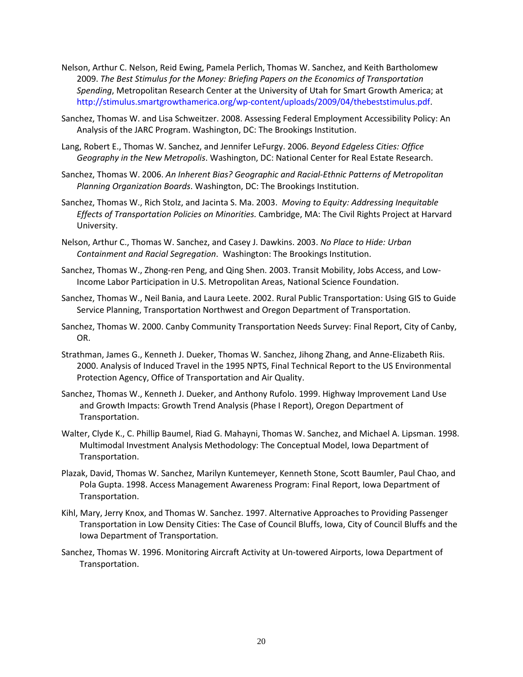- Nelson, Arthur C. Nelson, Reid Ewing, Pamela Perlich, Thomas W. Sanchez, and Keith Bartholomew 2009. *The Best Stimulus for the Money: Briefing Papers on the Economics of Transportation Spending*, Metropolitan Research Center at the University of Utah for Smart Growth America; at http://stimulus.smartgrowthamerica.org/wp-content/uploads/2009/04/thebeststimulus.pdf.
- Sanchez, Thomas W. and Lisa Schweitzer. 2008. Assessing Federal Employment Accessibility Policy: An Analysis of the JARC Program. Washington, DC: The Brookings Institution.
- Lang, Robert E., Thomas W. Sanchez, and Jennifer LeFurgy. 2006. *Beyond Edgeless Cities: Office Geography in the New Metropolis*. Washington, DC: National Center for Real Estate Research.
- Sanchez, Thomas W. 2006. *An Inherent Bias? Geographic and Racial-Ethnic Patterns of Metropolitan Planning Organization Boards*. Washington, DC: The Brookings Institution.
- Sanchez, Thomas W., Rich Stolz, and Jacinta S. Ma. 2003. *Moving to Equity: Addressing Inequitable Effects of Transportation Policies on Minorities.* Cambridge, MA: The Civil Rights Project at Harvard University.
- Nelson, Arthur C., Thomas W. Sanchez, and Casey J. Dawkins. 2003. *No Place to Hide: Urban Containment and Racial Segregation*. Washington: The Brookings Institution.
- Sanchez, Thomas W., Zhong-ren Peng, and Qing Shen. 2003. Transit Mobility, Jobs Access, and Low-Income Labor Participation in U.S. Metropolitan Areas, National Science Foundation.
- Sanchez, Thomas W., Neil Bania, and Laura Leete. 2002. Rural Public Transportation: Using GIS to Guide Service Planning, Transportation Northwest and Oregon Department of Transportation.
- Sanchez, Thomas W. 2000. Canby Community Transportation Needs Survey: Final Report, City of Canby, OR.
- Strathman, James G., Kenneth J. Dueker, Thomas W. Sanchez, Jihong Zhang, and Anne-Elizabeth Riis. 2000. Analysis of Induced Travel in the 1995 NPTS, Final Technical Report to the US Environmental Protection Agency, Office of Transportation and Air Quality.
- Sanchez, Thomas W., Kenneth J. Dueker, and Anthony Rufolo. 1999. Highway Improvement Land Use and Growth Impacts: Growth Trend Analysis (Phase I Report), Oregon Department of Transportation.
- Walter, Clyde K., C. Phillip Baumel, Riad G. Mahayni, Thomas W. Sanchez, and Michael A. Lipsman. 1998. Multimodal Investment Analysis Methodology: The Conceptual Model, Iowa Department of Transportation.
- Plazak, David, Thomas W. Sanchez, Marilyn Kuntemeyer, Kenneth Stone, Scott Baumler, Paul Chao, and Pola Gupta. 1998. Access Management Awareness Program: Final Report, Iowa Department of Transportation.
- Kihl, Mary, Jerry Knox, and Thomas W. Sanchez. 1997. Alternative Approaches to Providing Passenger Transportation in Low Density Cities: The Case of Council Bluffs, Iowa, City of Council Bluffs and the Iowa Department of Transportation.
- Sanchez, Thomas W. 1996. Monitoring Aircraft Activity at Un-towered Airports, Iowa Department of Transportation.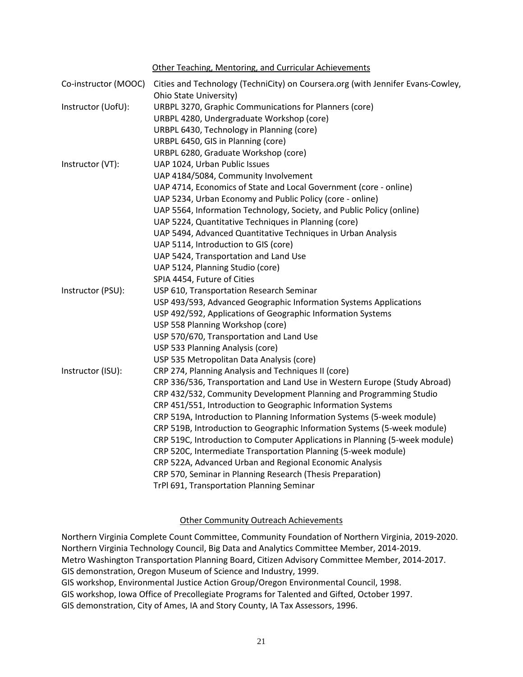Other Teaching, Mentoring, and Curricular Achievements

| Co-instructor (MOOC) | Cities and Technology (TechniCity) on Coursera.org (with Jennifer Evans-Cowley,<br>Ohio State University) |
|----------------------|-----------------------------------------------------------------------------------------------------------|
| Instructor (UofU):   | URBPL 3270, Graphic Communications for Planners (core)                                                    |
|                      | URBPL 4280, Undergraduate Workshop (core)                                                                 |
|                      | URBPL 6430, Technology in Planning (core)                                                                 |
|                      | URBPL 6450, GIS in Planning (core)                                                                        |
|                      | URBPL 6280, Graduate Workshop (core)                                                                      |
| Instructor (VT):     | UAP 1024, Urban Public Issues                                                                             |
|                      | UAP 4184/5084, Community Involvement                                                                      |
|                      | UAP 4714, Economics of State and Local Government (core - online)                                         |
|                      | UAP 5234, Urban Economy and Public Policy (core - online)                                                 |
|                      | UAP 5564, Information Technology, Society, and Public Policy (online)                                     |
|                      | UAP 5224, Quantitative Techniques in Planning (core)                                                      |
|                      | UAP 5494, Advanced Quantitative Techniques in Urban Analysis                                              |
|                      | UAP 5114, Introduction to GIS (core)                                                                      |
|                      | UAP 5424, Transportation and Land Use                                                                     |
|                      | UAP 5124, Planning Studio (core)                                                                          |
|                      | SPIA 4454, Future of Cities                                                                               |
| Instructor (PSU):    | USP 610, Transportation Research Seminar                                                                  |
|                      | USP 493/593, Advanced Geographic Information Systems Applications                                         |
|                      | USP 492/592, Applications of Geographic Information Systems                                               |
|                      | USP 558 Planning Workshop (core)                                                                          |
|                      | USP 570/670, Transportation and Land Use                                                                  |
|                      | USP 533 Planning Analysis (core)                                                                          |
|                      | USP 535 Metropolitan Data Analysis (core)                                                                 |
| Instructor (ISU):    | CRP 274, Planning Analysis and Techniques II (core)                                                       |
|                      | CRP 336/536, Transportation and Land Use in Western Europe (Study Abroad)                                 |
|                      | CRP 432/532, Community Development Planning and Programming Studio                                        |
|                      | CRP 451/551, Introduction to Geographic Information Systems                                               |
|                      | CRP 519A, Introduction to Planning Information Systems (5-week module)                                    |
|                      | CRP 519B, Introduction to Geographic Information Systems (5-week module)                                  |
|                      | CRP 519C, Introduction to Computer Applications in Planning (5-week module)                               |
|                      | CRP 520C, Intermediate Transportation Planning (5-week module)                                            |
|                      | CRP 522A, Advanced Urban and Regional Economic Analysis                                                   |
|                      | CRP 570, Seminar in Planning Research (Thesis Preparation)                                                |
|                      | TrPl 691, Transportation Planning Seminar                                                                 |

## Other Community Outreach Achievements

Northern Virginia Complete Count Committee, Community Foundation of Northern Virginia, 2019-2020. Northern Virginia Technology Council, Big Data and Analytics Committee Member, 2014-2019. Metro Washington Transportation Planning Board, Citizen Advisory Committee Member, 2014-2017. GIS demonstration, Oregon Museum of Science and Industry, 1999. GIS workshop, Environmental Justice Action Group/Oregon Environmental Council, 1998. GIS workshop, Iowa Office of Precollegiate Programs for Talented and Gifted, October 1997. GIS demonstration, City of Ames, IA and Story County, IA Tax Assessors, 1996.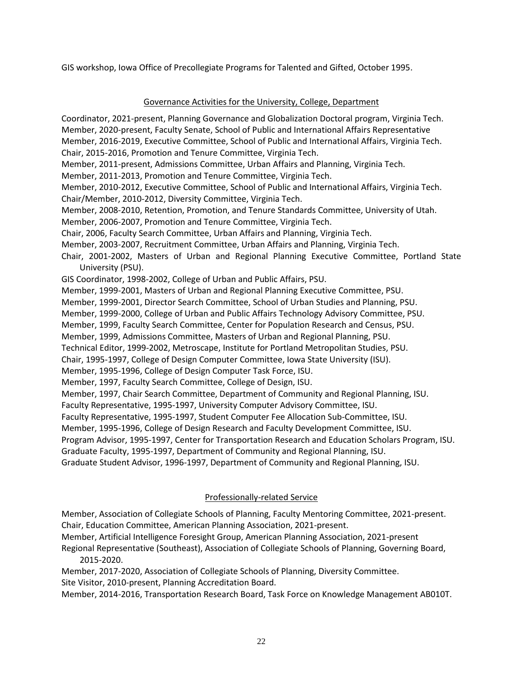GIS workshop, Iowa Office of Precollegiate Programs for Talented and Gifted, October 1995.

## Governance Activities for the University, College, Department

Coordinator, 2021-present, Planning Governance and Globalization Doctoral program, Virginia Tech. Member, 2020-present, Faculty Senate, School of Public and International Affairs Representative Member, 2016-2019, Executive Committee, School of Public and International Affairs, Virginia Tech. Chair, 2015-2016, Promotion and Tenure Committee, Virginia Tech. Member, 2011-present, Admissions Committee, Urban Affairs and Planning, Virginia Tech. Member, 2011-2013, Promotion and Tenure Committee, Virginia Tech. Member, 2010-2012, Executive Committee, School of Public and International Affairs, Virginia Tech. Chair/Member, 2010-2012, Diversity Committee, Virginia Tech. Member, 2008-2010, Retention, Promotion, and Tenure Standards Committee, University of Utah. Member, 2006-2007, Promotion and Tenure Committee, Virginia Tech. Chair, 2006, Faculty Search Committee, Urban Affairs and Planning, Virginia Tech. Member, 2003-2007, Recruitment Committee, Urban Affairs and Planning, Virginia Tech. Chair, 2001-2002, Masters of Urban and Regional Planning Executive Committee, Portland State University (PSU). GIS Coordinator, 1998-2002, College of Urban and Public Affairs, PSU. Member, 1999-2001, Masters of Urban and Regional Planning Executive Committee, PSU. Member, 1999-2001, Director Search Committee, School of Urban Studies and Planning, PSU. Member, 1999-2000, College of Urban and Public Affairs Technology Advisory Committee, PSU. Member, 1999, Faculty Search Committee, Center for Population Research and Census, PSU. Member, 1999, Admissions Committee, Masters of Urban and Regional Planning, PSU. Technical Editor, 1999-2002, Metroscape, Institute for Portland Metropolitan Studies, PSU. Chair, 1995-1997, College of Design Computer Committee, Iowa State University (ISU). Member, 1995-1996, College of Design Computer Task Force, ISU. Member, 1997, Faculty Search Committee, College of Design, ISU. Member, 1997, Chair Search Committee, Department of Community and Regional Planning, ISU. Faculty Representative, 1995-1997, University Computer Advisory Committee, ISU. Faculty Representative, 1995-1997, Student Computer Fee Allocation Sub-Committee, ISU. Member, 1995-1996, College of Design Research and Faculty Development Committee, ISU. Program Advisor, 1995-1997, Center for Transportation Research and Education Scholars Program, ISU. Graduate Faculty, 1995-1997, Department of Community and Regional Planning, ISU. Graduate Student Advisor, 1996-1997, Department of Community and Regional Planning, ISU.

# Professionally-related Service

Member, Association of Collegiate Schools of Planning, Faculty Mentoring Committee, 2021-present. Chair, Education Committee, American Planning Association, 2021-present.

- Member, Artificial Intelligence Foresight Group, American Planning Association, 2021-present Regional Representative (Southeast), Association of Collegiate Schools of Planning, Governing Board, 2015-2020.
- Member, 2017-2020, Association of Collegiate Schools of Planning, Diversity Committee. Site Visitor, 2010-present, Planning Accreditation Board.

Member, 2014-2016, Transportation Research Board, Task Force on Knowledge Management AB010T.